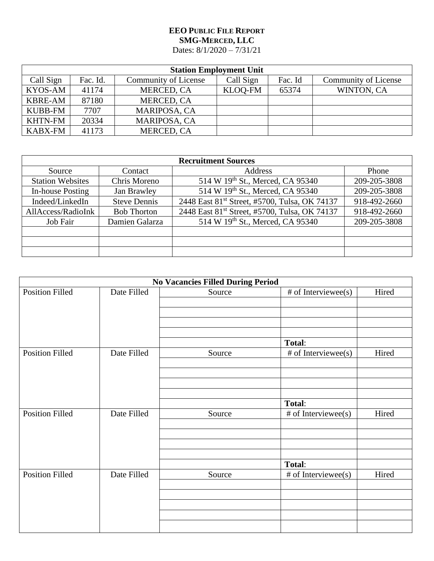## **EEO PUBLIC FILE REPORT SMG-MERCED, LLC** Dates: 8/1/2020 – 7/31/21

| <b>Station Employment Unit</b> |          |                      |           |         |                      |  |  |
|--------------------------------|----------|----------------------|-----------|---------|----------------------|--|--|
| Call Sign                      | Fac. Id. | Community of License | Call Sign | Fac. Id | Community of License |  |  |
| KYOS-AM                        | 41174    | MERCED, CA           | KLOQ-FM   | 65374   | WINTON, CA           |  |  |
| <b>KBRE-AM</b>                 | 87180    | MERCED, CA           |           |         |                      |  |  |
| <b>KUBB-FM</b>                 | 7707     | MARIPOSA, CA         |           |         |                      |  |  |
| <b>KHTN-FM</b>                 | 20334    | MARIPOSA, CA         |           |         |                      |  |  |
| <b>KABX-FM</b>                 | 41173    | MERCED, CA           |           |         |                      |  |  |

| <b>Recruitment Sources</b> |                     |                                                           |              |  |  |
|----------------------------|---------------------|-----------------------------------------------------------|--------------|--|--|
| Source                     | Contact             | Address                                                   | Phone        |  |  |
| <b>Station Websites</b>    | Chris Moreno        | 514 W 19th St., Merced, CA 95340                          | 209-205-3808 |  |  |
| In-house Posting           | Jan Brawley         | 514 W 19th St., Merced, CA 95340                          | 209-205-3808 |  |  |
| Indeed/LinkedIn            | <b>Steve Dennis</b> | 2448 East 81 <sup>st</sup> Street, #5700, Tulsa, OK 74137 | 918-492-2660 |  |  |
| AllAccess/RadioInk         | <b>Bob Thorton</b>  | 2448 East 81 <sup>st</sup> Street, #5700, Tulsa, OK 74137 | 918-492-2660 |  |  |
| Job Fair                   | Damien Galarza      | 514 W 19th St., Merced, CA 95340                          | 209-205-3808 |  |  |
|                            |                     |                                                           |              |  |  |
|                            |                     |                                                           |              |  |  |
|                            |                     |                                                           |              |  |  |

| <b>No Vacancies Filled During Period</b> |             |        |                       |       |  |
|------------------------------------------|-------------|--------|-----------------------|-------|--|
| <b>Position Filled</b>                   | Date Filled | Source | # of Interviewee(s)   | Hired |  |
|                                          |             |        |                       |       |  |
|                                          |             |        |                       |       |  |
|                                          |             |        |                       |       |  |
|                                          |             |        |                       |       |  |
|                                          |             |        | Total:                |       |  |
| <b>Position Filled</b>                   | Date Filled | Source | # of Interviewee(s)   | Hired |  |
|                                          |             |        |                       |       |  |
|                                          |             |        |                       |       |  |
|                                          |             |        |                       |       |  |
|                                          |             |        |                       |       |  |
|                                          |             |        | Total:                |       |  |
| <b>Position Filled</b>                   | Date Filled | Source | $#$ of Interviewee(s) | Hired |  |
|                                          |             |        |                       |       |  |
|                                          |             |        |                       |       |  |
|                                          |             |        |                       |       |  |
|                                          |             |        |                       |       |  |
|                                          |             |        | Total:                |       |  |
| <b>Position Filled</b>                   | Date Filled | Source | # of Interviewee(s)   | Hired |  |
|                                          |             |        |                       |       |  |
|                                          |             |        |                       |       |  |
|                                          |             |        |                       |       |  |
|                                          |             |        |                       |       |  |
|                                          |             |        |                       |       |  |